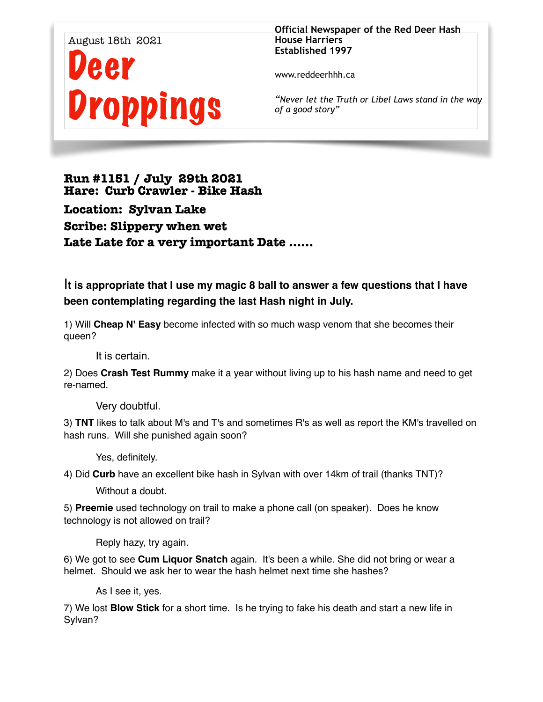

**Official Newspaper of the Red Deer Hash House Harriers Established 1997** 

www.reddeerhhh.ca

*"Never let the Truth or Libel Laws stand in the way of a good story"*

**Run #1151 / July 29th 2021 Hare: Curb Crawler - Bike Hash** 

**Location: Sylvan Lake Scribe: Slippery when wet Late Late for a very important Date ……** 

I**t is appropriate that I use my magic 8 ball to answer a few questions that I have been contemplating regarding the last Hash night in July.**

1) Will **Cheap N' Easy** become infected with so much wasp venom that she becomes their queen?

It is certain.

2) Does **Crash Test Rummy** make it a year without living up to his hash name and need to get re-named.

Very doubtful.

3) **TNT** likes to talk about M's and T's and sometimes R's as well as report the KM's travelled on hash runs. Will she punished again soon?

Yes, definitely.

4) Did **Curb** have an excellent bike hash in Sylvan with over 14km of trail (thanks TNT)?

Without a doubt.

5) **Preemie** used technology on trail to make a phone call (on speaker). Does he know technology is not allowed on trail?

Reply hazy, try again.

6) We got to see **Cum Liquor Snatch** again. It's been a while. She did not bring or wear a helmet. Should we ask her to wear the hash helmet next time she hashes?

As I see it, yes.

7) We lost **Blow Stick** for a short time. Is he trying to fake his death and start a new life in Sylvan?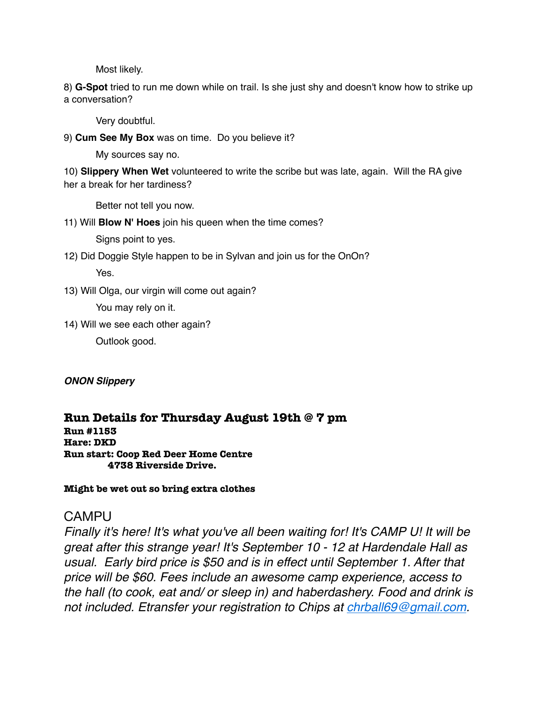Most likely.

8) **G-Spot** tried to run me down while on trail. Is she just shy and doesn't know how to strike up a conversation?

Very doubtful.

9) **Cum See My Box** was on time. Do you believe it?

My sources say no.

10) **Slippery When Wet** volunteered to write the scribe but was late, again. Will the RA give her a break for her tardiness?

Better not tell you now.

11) Will **Blow N' Hoes** join his queen when the time comes?

Signs point to yes.

- 12) Did Doggie Style happen to be in Sylvan and join us for the OnOn? Yes.
- 13) Will Olga, our virgin will come out again?

You may rely on it.

14) Will we see each other again?

Outlook good.

*ONON Slippery*

## **Run Details for Thursday August 19th @ 7 pm Run #1153 Hare: DKD Run start: Coop Red Deer Home Centre 4738 Riverside Drive.**

**Might be wet out so bring extra clothes** 

## CAMPU

*Finally it's here! It's what you've all been waiting for! It's CAMP U! It will be great after this strange year! It's September 10 - 12 at Hardendale Hall as usual. Early bird price is \$50 and is in effect until September 1. After that price will be \$60. Fees include an awesome camp experience, access to the hall (to cook, eat and/ or sleep in) and haberdashery. Food and drink is not included. Etransfer your registration to Chips at [chrball69@gmail.com.](mailto:chrball69@gmail.com)*